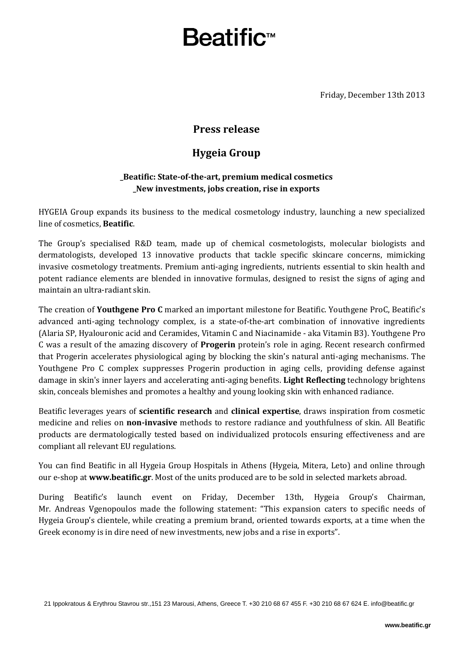# Beatific™

Friday, December 13th 2013

### **Press release**

## **Hygeia Group**

### **\_Beatific: State-of-the-art, premium medical cosmetics \_New investments, jobs creation, rise in exports**

HYGEIA Group expands its business to the medical cosmetology industry, launching a new specialized line of cosmetics, **Beatific**.

The Group's specialised R&D team, made up of chemical cosmetologists, molecular biologists and dermatologists, developed 13 innovative products that tackle specific skincare concerns, mimicking invasive cosmetology treatments. Premium anti-aging ingredients, nutrients essential to skin health and potent radiance elements are blended in innovative formulas, designed to resist the signs of aging and maintain an ultra-radiant skin.

The creation of **Youthgene Pro C** marked an important milestone for Beatific. Youthgene ProC, Beatific's advanced anti-aging technology complex, is a state-of-the-art combination of innovative ingredients (Alaria SP, Hyalouronic acid and Ceramides, Vitamin C and Niacinamide - aka Vitamin B3). Youthgene Pro C was a result of the amazing discovery of **Progerin** protein's role in aging. Recent research confirmed that Progerin accelerates physiological aging by blocking the skin's natural anti-aging mechanisms. The Youthgene Pro C complex suppresses Progerin production in aging cells, providing defense against damage in skin's inner layers and accelerating anti-aging benefits. **Light Reflecting** technology brightens skin, conceals blemishes and promotes a healthy and young looking skin with enhanced radiance.

Beatific leverages years of **scientific research** and **clinical expertise**, draws inspiration from cosmetic medicine and relies on **non-invasive** methods to restore radiance and youthfulness of skin. All Beatific products are dermatologically tested based on individualized protocols ensuring effectiveness and are compliant all relevant EU regulations.

You can find Beatific in all Hygeia Group Hospitals in Athens (Hygeia, Mitera, Leto) and online through our e-shop at **www.beatific.gr**. Most of the units produced are to be sold in selected markets abroad.

During Beatific's launch event on Friday, December 13th, Hygeia Group's Chairman, Mr. Andreas Vgenopoulos made the following statement: "This expansion caters to specific needs of Hygeia Group's clientele, while creating a premium brand, oriented towards exports, at a time when the Greek economy is in dire need of new investments, new jobs and a rise in exports".

21 Ippokratous & Erythrou Stavrou str.,151 23 Marousi, Athens, Greece T. +30 210 68 67 455 F. +30 210 68 67 624 Ε. [info@beatific.gr](mailto:info@beatific.gr)